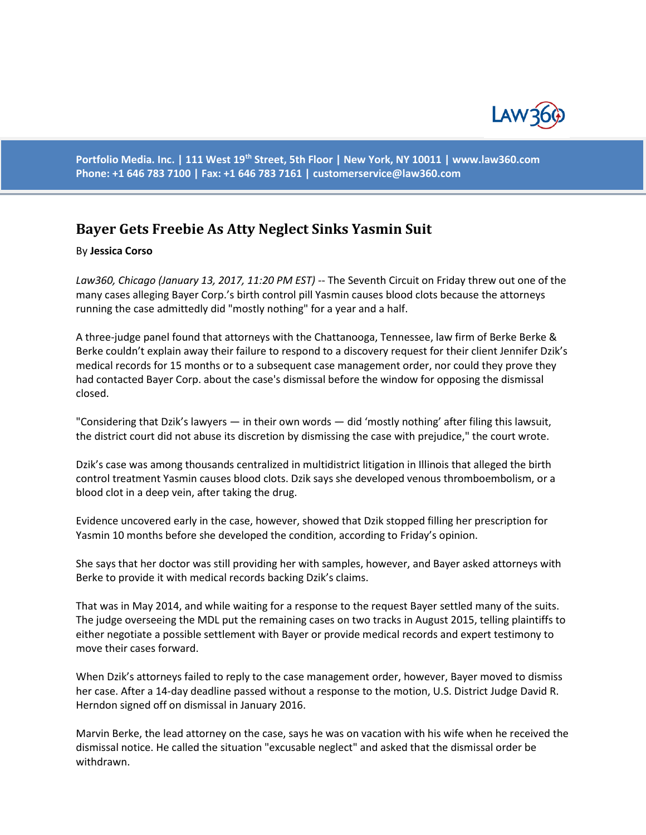

**Portfolio Media. Inc. | 111 West 19th Street, 5th Floor | New York, NY 10011 | www.law360.com Phone: +1 646 783 7100 | Fax: +1 646 783 7161 | [customerservice@law360.com](mailto:customerservice@law360.com)**

## **Bayer Gets Freebie As Atty Neglect Sinks Yasmin Suit**

## By **Jessica Corso**

*Law360, Chicago (January 13, 2017, 11:20 PM EST)* -- The Seventh Circuit on Friday threw out one of the many cases alleging Bayer Corp.'s birth control pill Yasmin causes blood clots because the attorneys running the case admittedly did "mostly nothing" for a year and a half.

A three-judge panel found that attorneys with the Chattanooga, Tennessee, law firm of Berke Berke & Berke couldn't explain away their failure to respond to a discovery request for their client Jennifer Dzik's medical records for 15 months or to a subsequent case management order, nor could they prove they had contacted Bayer Corp. about the case's dismissal before the window for opposing the dismissal closed.

"Considering that Dzik's lawyers — in their own words — did 'mostly nothing' after filing this lawsuit, the district court did not abuse its discretion by dismissing the case with prejudice," the court wrote.

Dzik's case was among thousands centralized in multidistrict litigation in Illinois that alleged the birth control treatment Yasmin causes blood clots. Dzik says she developed venous thromboembolism, or a blood clot in a deep vein, after taking the drug.

Evidence uncovered early in the case, however, showed that Dzik stopped filling her prescription for Yasmin 10 months before she developed the condition, according to Friday's opinion.

She says that her doctor was still providing her with samples, however, and Bayer asked attorneys with Berke to provide it with medical records backing Dzik's claims.

That was in May 2014, and while waiting for a response to the request Bayer settled many of the suits. The judge overseeing the MDL put the remaining cases on two tracks in August 2015, telling plaintiffs to either negotiate a possible settlement with Bayer or provide medical records and expert testimony to move their cases forward.

When Dzik's attorneys failed to reply to the case management order, however, Bayer moved to dismiss her case. After a 14-day deadline passed without a response to the motion, U.S. District Judge David R. Herndon signed off on dismissal in January 2016.

Marvin Berke, the lead attorney on the case, says he was on vacation with his wife when he received the dismissal notice. He called the situation "excusable neglect" and asked that the dismissal order be withdrawn.